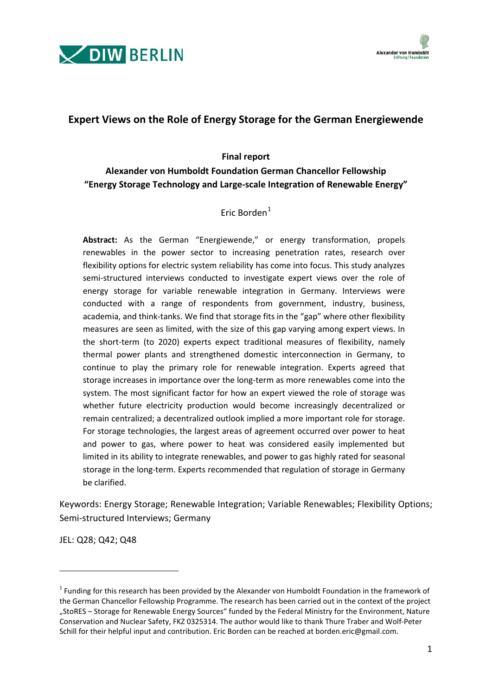



# **Expert Views on the Role of Energy Storage for the German Energiewende**

#### **Final report**

# **Alexander von Humboldt Foundation German Chancellor Fellowship "Energy Storage Technology and Large-scale Integration of Renewable Energy"**

## Eric Borden<sup>[1](#page-0-0)</sup>

**Abstract:** As the German "Energiewende," or energy transformation, propels renewables in the power sector to increasing penetration rates, research over flexibility options for electric system reliability has come into focus. This study analyzes semi-structured interviews conducted to investigate expert views over the role of energy storage for variable renewable integration in Germany. Interviews were conducted with a range of respondents from government, industry, business, academia, and think-tanks. We find that storage fits in the "gap" where other flexibility measures are seen as limited, with the size of this gap varying among expert views. In the short-term (to 2020) experts expect traditional measures of flexibility, namely thermal power plants and strengthened domestic interconnection in Germany, to continue to play the primary role for renewable integration. Experts agreed that storage increases in importance over the long-term as more renewables come into the system. The most significant factor for how an expert viewed the role of storage was whether future electricity production would become increasingly decentralized or remain centralized; a decentralized outlook implied a more important role for storage. For storage technologies, the largest areas of agreement occurred over power to heat and power to gas, where power to heat was considered easily implemented but limited in its ability to integrate renewables, and power to gas highly rated for seasonal storage in the long-term. Experts recommended that regulation of storage in Germany be clarified.

Keywords: Energy Storage; Renewable Integration; Variable Renewables; Flexibility Options; Semi-structured Interviews; Germany

JEL: Q28; Q42; Q48

-

<span id="page-0-0"></span><sup>1</sup> Funding for this research has been provided by the Alexander von Humboldt Foundation in the framework of the German Chancellor Fellowship Programme. The research has been carried out in the context of the project "StoRES – Storage for Renewable Energy Sources" funded by the Federal Ministry for the Environment, Nature Conservation and Nuclear Safety, FKZ 0325314. The author would like to thank Thure Traber and Wolf-Peter Schill for their helpful input and contribution. Eric Borden can be reached at borden.eric@gmail.com.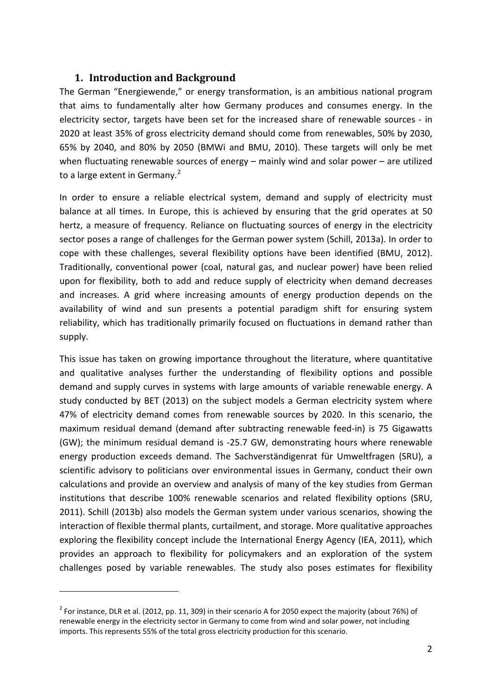# **1. Introduction and Background**

The German "Energiewende," or energy transformation, is an ambitious national program that aims to fundamentally alter how Germany produces and consumes energy. In the electricity sector, targets have been set for the increased share of renewable sources - in 2020 at least 35% of gross electricity demand should come from renewables, 50% by 2030, 65% by 2040, and 80% by 2050 (BMWi and BMU, 2010). These targets will only be met when fluctuating renewable sources of energy – mainly wind and solar power – are utilized to a large extent in Germany.<sup>[2](#page-1-0)</sup>

In order to ensure a reliable electrical system, demand and supply of electricity must balance at all times. In Europe, this is achieved by ensuring that the grid operates at 50 hertz, a measure of frequency. Reliance on fluctuating sources of energy in the electricity sector poses a range of challenges for the German power system (Schill, 2013a). In order to cope with these challenges, several flexibility options have been identified (BMU, 2012). Traditionally, conventional power (coal, natural gas, and nuclear power) have been relied upon for flexibility, both to add and reduce supply of electricity when demand decreases and increases. A grid where increasing amounts of energy production depends on the availability of wind and sun presents a potential paradigm shift for ensuring system reliability, which has traditionally primarily focused on fluctuations in demand rather than supply.

This issue has taken on growing importance throughout the literature, where quantitative and qualitative analyses further the understanding of flexibility options and possible demand and supply curves in systems with large amounts of variable renewable energy. A study conducted by BET (2013) on the subject models a German electricity system where 47% of electricity demand comes from renewable sources by 2020. In this scenario, the maximum residual demand (demand after subtracting renewable feed-in) is 75 Gigawatts (GW); the minimum residual demand is -25.7 GW, demonstrating hours where renewable energy production exceeds demand. The Sachverständigenrat für Umweltfragen (SRU), a scientific advisory to politicians over environmental issues in Germany, conduct their own calculations and provide an overview and analysis of many of the key studies from German institutions that describe 100% renewable scenarios and related flexibility options (SRU, 2011). Schill (2013b) also models the German system under various scenarios, showing the interaction of flexible thermal plants, curtailment, and storage. More qualitative approaches exploring the flexibility concept include the International Energy Agency (IEA, 2011), which provides an approach to flexibility for policymakers and an exploration of the system challenges posed by variable renewables. The study also poses estimates for flexibility

1

<span id="page-1-0"></span><sup>&</sup>lt;sup>2</sup> For instance, DLR et al. (2012, pp. 11, 309) in their scenario A for 2050 expect the majority (about 76%) of renewable energy in the electricity sector in Germany to come from wind and solar power, not including imports. This represents 55% of the total gross electricity production for this scenario.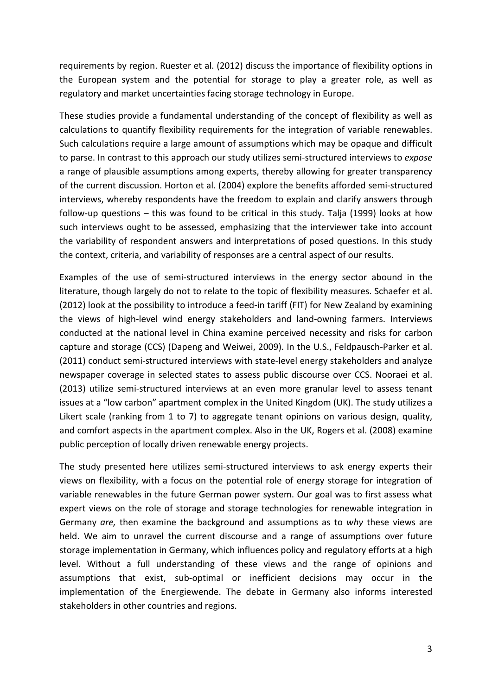requirements by region. Ruester et al. (2012) discuss the importance of flexibility options in the European system and the potential for storage to play a greater role, as well as regulatory and market uncertainties facing storage technology in Europe.

These studies provide a fundamental understanding of the concept of flexibility as well as calculations to quantify flexibility requirements for the integration of variable renewables. Such calculations require a large amount of assumptions which may be opaque and difficult to parse. In contrast to this approach our study utilizes semi-structured interviews to *expose* a range of plausible assumptions among experts, thereby allowing for greater transparency of the current discussion. Horton et al. (2004) explore the benefits afforded semi-structured interviews, whereby respondents have the freedom to explain and clarify answers through follow-up questions – this was found to be critical in this study. Talja (1999) looks at how such interviews ought to be assessed, emphasizing that the interviewer take into account the variability of respondent answers and interpretations of posed questions. In this study the context, criteria, and variability of responses are a central aspect of our results.

Examples of the use of semi-structured interviews in the energy sector abound in the literature, though largely do not to relate to the topic of flexibility measures. Schaefer et al. (2012) look at the possibility to introduce a feed-in tariff (FIT) for New Zealand by examining the views of high-level wind energy stakeholders and land-owning farmers. Interviews conducted at the national level in China examine perceived necessity and risks for carbon capture and storage (CCS) (Dapeng and Weiwei, 2009). In the U.S., Feldpausch-Parker et al. (2011) conduct semi-structured interviews with state-level energy stakeholders and analyze newspaper coverage in selected states to assess public discourse over CCS. Nooraei et al. (2013) utilize semi-structured interviews at an even more granular level to assess tenant issues at a "low carbon" apartment complex in the United Kingdom (UK). The study utilizes a Likert scale (ranking from 1 to 7) to aggregate tenant opinions on various design, quality, and comfort aspects in the apartment complex. Also in the UK, Rogers et al. (2008) examine public perception of locally driven renewable energy projects.

The study presented here utilizes semi-structured interviews to ask energy experts their views on flexibility, with a focus on the potential role of energy storage for integration of variable renewables in the future German power system. Our goal was to first assess what expert views on the role of storage and storage technologies for renewable integration in Germany *are,* then examine the background and assumptions as to *why* these views are held. We aim to unravel the current discourse and a range of assumptions over future storage implementation in Germany, which influences policy and regulatory efforts at a high level. Without a full understanding of these views and the range of opinions and assumptions that exist, sub-optimal or inefficient decisions may occur in the implementation of the Energiewende. The debate in Germany also informs interested stakeholders in other countries and regions.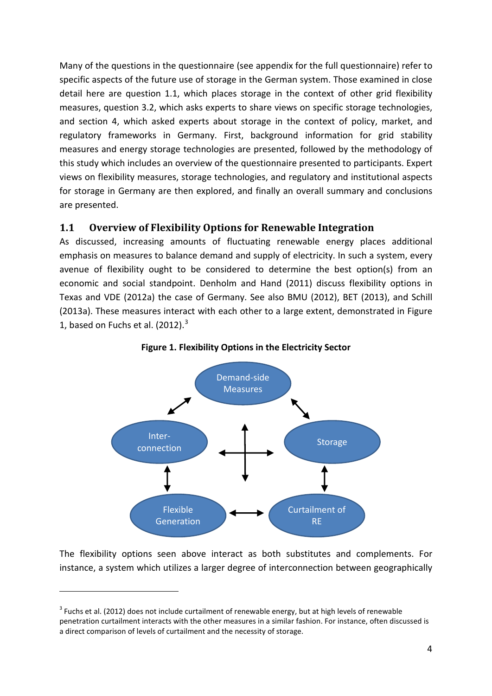Many of the questions in the questionnaire (see appendix for the full questionnaire) refer to specific aspects of the future use of storage in the German system. Those examined in close detail here are question 1.1, which places storage in the context of other grid flexibility measures, question 3.2, which asks experts to share views on specific storage technologies, and section 4, which asked experts about storage in the context of policy, market, and regulatory frameworks in Germany. First, background information for grid stability measures and energy storage technologies are presented, followed by the methodology of this study which includes an overview of the questionnaire presented to participants. Expert views on flexibility measures, storage technologies, and regulatory and institutional aspects for storage in Germany are then explored, and finally an overall summary and conclusions are presented.

## **1.1 Overview of Flexibility Options for Renewable Integration**

As discussed, increasing amounts of fluctuating renewable energy places additional emphasis on measures to balance demand and supply of electricity. In such a system, every avenue of flexibility ought to be considered to determine the best option(s) from an economic and social standpoint. Denholm and Hand (2011) discuss flexibility options in Texas and VDE (2012a) the case of Germany. See also BMU (2012), BET (2013), and Schill (2013a). These measures interact with each other to a large extent, demonstrated in [Figure](#page-3-0)  [1,](#page-3-0) based on Fuchs et al.  $(2012).$ <sup>[3](#page-3-1)</sup>

<span id="page-3-0"></span>



The flexibility options seen above interact as both substitutes and complements. For instance, a system which utilizes a larger degree of interconnection between geographically

1

<span id="page-3-1"></span> $3$  Fuchs et al. (2012) does not include curtailment of renewable energy, but at high levels of renewable penetration curtailment interacts with the other measures in a similar fashion. For instance, often discussed is a direct comparison of levels of curtailment and the necessity of storage.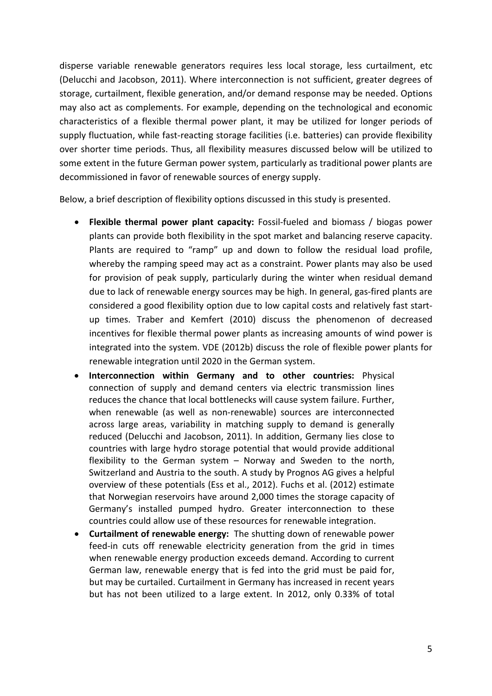disperse variable renewable generators requires less local storage, less curtailment, etc (Delucchi and Jacobson, 2011). Where interconnection is not sufficient, greater degrees of storage, curtailment, flexible generation, and/or demand response may be needed. Options may also act as complements. For example, depending on the technological and economic characteristics of a flexible thermal power plant, it may be utilized for longer periods of supply fluctuation, while fast-reacting storage facilities (i.e. batteries) can provide flexibility over shorter time periods. Thus, all flexibility measures discussed below will be utilized to some extent in the future German power system, particularly as traditional power plants are decommissioned in favor of renewable sources of energy supply.

Below, a brief description of flexibility options discussed in this study is presented.

- **Flexible thermal power plant capacity:** Fossil-fueled and biomass / biogas power plants can provide both flexibility in the spot market and balancing reserve capacity. Plants are required to "ramp" up and down to follow the residual load profile, whereby the ramping speed may act as a constraint. Power plants may also be used for provision of peak supply, particularly during the winter when residual demand due to lack of renewable energy sources may be high. In general, gas-fired plants are considered a good flexibility option due to low capital costs and relatively fast startup times. Traber and Kemfert (2010) discuss the phenomenon of decreased incentives for flexible thermal power plants as increasing amounts of wind power is integrated into the system. VDE (2012b) discuss the role of flexible power plants for renewable integration until 2020 in the German system.
- **Interconnection within Germany and to other countries:** Physical connection of supply and demand centers via electric transmission lines reduces the chance that local bottlenecks will cause system failure. Further, when renewable (as well as non-renewable) sources are interconnected across large areas, variability in matching supply to demand is generally reduced (Delucchi and Jacobson, 2011). In addition, Germany lies close to countries with large hydro storage potential that would provide additional flexibility to the German system – Norway and Sweden to the north, Switzerland and Austria to the south. A study by Prognos AG gives a helpful overview of these potentials (Ess et al., 2012). Fuchs et al. (2012) estimate that Norwegian reservoirs have around 2,000 times the storage capacity of Germany's installed pumped hydro. Greater interconnection to these countries could allow use of these resources for renewable integration.
- **Curtailment of renewable energy:** The shutting down of renewable power feed-in cuts off renewable electricity generation from the grid in times when renewable energy production exceeds demand. According to current German law, renewable energy that is fed into the grid must be paid for, but may be curtailed. Curtailment in Germany has increased in recent years but has not been utilized to a large extent. In 2012, only 0.33% of total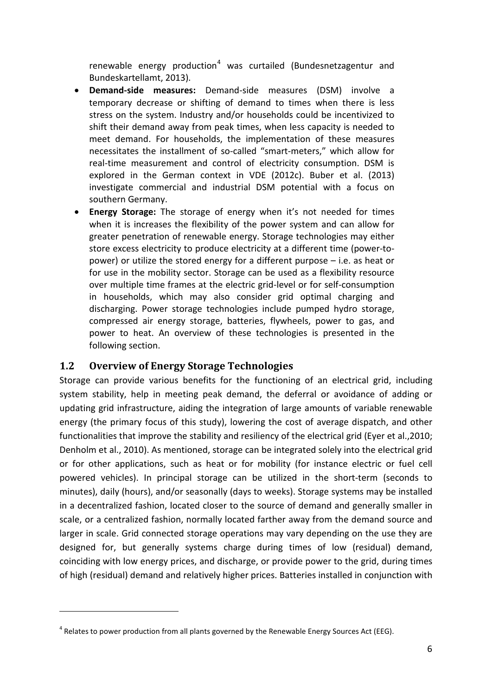renewable energy production<sup>[4](#page-5-0)</sup> was curtailed (Bundesnetzagentur and Bundeskartellamt, 2013).

- **Demand-side measures:** Demand-side measures (DSM) involve a temporary decrease or shifting of demand to times when there is less stress on the system. Industry and/or households could be incentivized to shift their demand away from peak times, when less capacity is needed to meet demand. For households, the implementation of these measures necessitates the installment of so-called "smart-meters," which allow for real-time measurement and control of electricity consumption. DSM is explored in the German context in VDE (2012c). Buber et al. (2013) investigate commercial and industrial DSM potential with a focus on southern Germany.
- **Energy Storage:** The storage of energy when it's not needed for times when it is increases the flexibility of the power system and can allow for greater penetration of renewable energy. Storage technologies may either store excess electricity to produce electricity at a different time (power-topower) or utilize the stored energy for a different purpose – i.e. as heat or for use in the mobility sector. Storage can be used as a flexibility resource over multiple time frames at the electric grid-level or for self-consumption in households, which may also consider grid optimal charging and discharging. Power storage technologies include pumped hydro storage, compressed air energy storage, batteries, flywheels, power to gas, and power to heat. An overview of these technologies is presented in the following section.

# **1.2 Overview of Energy Storage Technologies**

1

Storage can provide various benefits for the functioning of an electrical grid, including system stability, help in meeting peak demand, the deferral or avoidance of adding or updating grid infrastructure, aiding the integration of large amounts of variable renewable energy (the primary focus of this study), lowering the cost of average dispatch, and other functionalities that improve the stability and resiliency of the electrical grid (Eyer et al.,2010; Denholm et al., 2010). As mentioned, storage can be integrated solely into the electrical grid or for other applications, such as heat or for mobility (for instance electric or fuel cell powered vehicles). In principal storage can be utilized in the short-term (seconds to minutes), daily (hours), and/or seasonally (days to weeks). Storage systems may be installed in a decentralized fashion, located closer to the source of demand and generally smaller in scale, or a centralized fashion, normally located farther away from the demand source and larger in scale. Grid connected storage operations may vary depending on the use they are designed for, but generally systems charge during times of low (residual) demand, coinciding with low energy prices, and discharge, or provide power to the grid, during times of high (residual) demand and relatively higher prices. Batteries installed in conjunction with

<span id="page-5-0"></span> $<sup>4</sup>$  Relates to power production from all plants governed by the Renewable Energy Sources Act (EEG).</sup>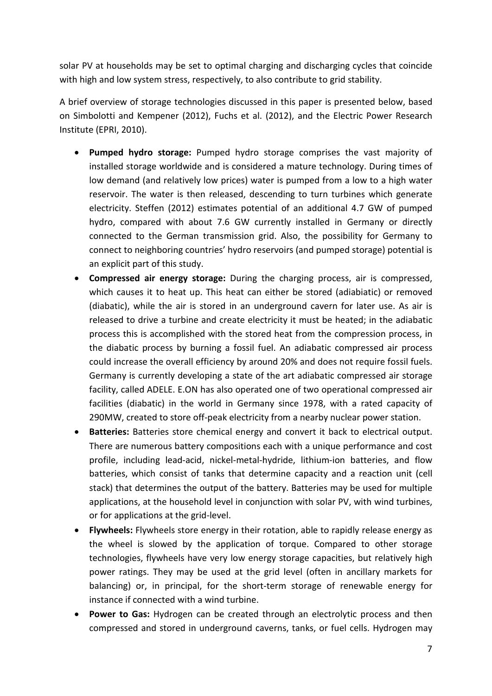solar PV at households may be set to optimal charging and discharging cycles that coincide with high and low system stress, respectively, to also contribute to grid stability.

A brief overview of storage technologies discussed in this paper is presented below, based on Simbolotti and Kempener (2012), Fuchs et al. (2012), and the Electric Power Research Institute (EPRI, 2010).

- **Pumped hydro storage:** Pumped hydro storage comprises the vast majority of installed storage worldwide and is considered a mature technology. During times of low demand (and relatively low prices) water is pumped from a low to a high water reservoir. The water is then released, descending to turn turbines which generate electricity. Steffen (2012) estimates potential of an additional 4.7 GW of pumped hydro, compared with about 7.6 GW currently installed in Germany or directly connected to the German transmission grid. Also, the possibility for Germany to connect to neighboring countries' hydro reservoirs (and pumped storage) potential is an explicit part of this study.
- **Compressed air energy storage:** During the charging process, air is compressed, which causes it to heat up. This heat can either be stored (adiabiatic) or removed (diabatic), while the air is stored in an underground cavern for later use. As air is released to drive a turbine and create electricity it must be heated; in the adiabatic process this is accomplished with the stored heat from the compression process, in the diabatic process by burning a fossil fuel. An adiabatic compressed air process could increase the overall efficiency by around 20% and does not require fossil fuels. Germany is currently developing a state of the art adiabatic compressed air storage facility, called ADELE. E.ON has also operated one of two operational compressed air facilities (diabatic) in the world in Germany since 1978, with a rated capacity of 290MW, created to store off-peak electricity from a nearby nuclear power station.
- **Batteries:** Batteries store chemical energy and convert it back to electrical output. There are numerous battery compositions each with a unique performance and cost profile, including lead-acid, nickel-metal-hydride, lithium-ion batteries, and flow batteries, which consist of tanks that determine capacity and a reaction unit (cell stack) that determines the output of the battery. Batteries may be used for multiple applications, at the household level in conjunction with solar PV, with wind turbines, or for applications at the grid-level.
- **Flywheels:** Flywheels store energy in their rotation, able to rapidly release energy as the wheel is slowed by the application of torque. Compared to other storage technologies, flywheels have very low energy storage capacities, but relatively high power ratings. They may be used at the grid level (often in ancillary markets for balancing) or, in principal, for the short-term storage of renewable energy for instance if connected with a wind turbine.
- **Power to Gas:** Hydrogen can be created through an electrolytic process and then compressed and stored in underground caverns, tanks, or fuel cells. Hydrogen may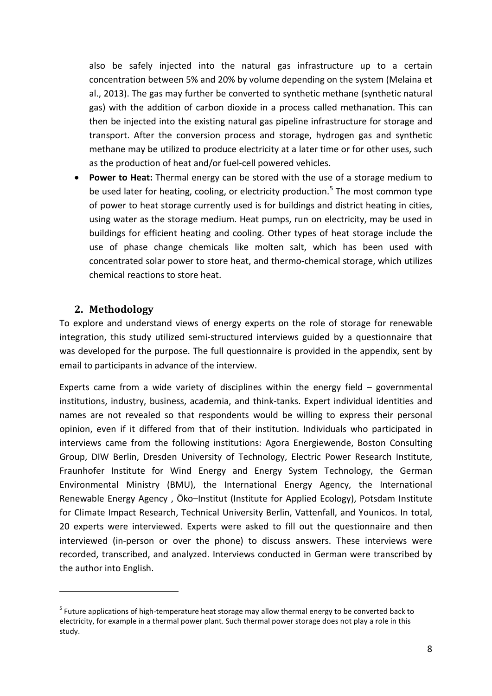also be safely injected into the natural gas infrastructure up to a certain concentration between 5% and 20% by volume depending on the system (Melaina et al., 2013). The gas may further be converted to synthetic methane (synthetic natural gas) with the addition of carbon dioxide in a process called methanation. This can then be injected into the existing natural gas pipeline infrastructure for storage and transport. After the conversion process and storage, hydrogen gas and synthetic methane may be utilized to produce electricity at a later time or for other uses, such as the production of heat and/or fuel-cell powered vehicles.

• **Power to Heat:** Thermal energy can be stored with the use of a storage medium to be used later for heating, cooling, or electricity production.<sup>[5](#page-7-0)</sup> The most common type of power to heat storage currently used is for buildings and district heating in cities, using water as the storage medium. Heat pumps, run on electricity, may be used in buildings for efficient heating and cooling. Other types of heat storage include the use of phase change chemicals like molten salt, which has been used with concentrated solar power to store heat, and thermo-chemical storage, which utilizes chemical reactions to store heat.

## **2. Methodology**

1

To explore and understand views of energy experts on the role of storage for renewable integration, this study utilized semi-structured interviews guided by a questionnaire that was developed for the purpose. The full questionnaire is provided in the appendix, sent by email to participants in advance of the interview.

Experts came from a wide variety of disciplines within the energy field – governmental institutions, industry, business, academia, and think-tanks. Expert individual identities and names are not revealed so that respondents would be willing to express their personal opinion, even if it differed from that of their institution. Individuals who participated in interviews came from the following institutions: Agora Energiewende, Boston Consulting Group, DIW Berlin, Dresden University of Technology, Electric Power Research Institute, Fraunhofer Institute for Wind Energy and Energy System Technology, the German Environmental Ministry (BMU), the International Energy Agency, the International Renewable Energy Agency , Öko–Institut (Institute for Applied Ecology), Potsdam Institute for Climate Impact Research, Technical University Berlin, Vattenfall, and Younicos. In total, 20 experts were interviewed. Experts were asked to fill out the questionnaire and then interviewed (in-person or over the phone) to discuss answers. These interviews were recorded, transcribed, and analyzed. Interviews conducted in German were transcribed by the author into English.

<span id="page-7-0"></span> $<sup>5</sup>$  Future applications of high-temperature heat storage may allow thermal energy to be converted back to</sup> electricity, for example in a thermal power plant. Such thermal power storage does not play a role in this study.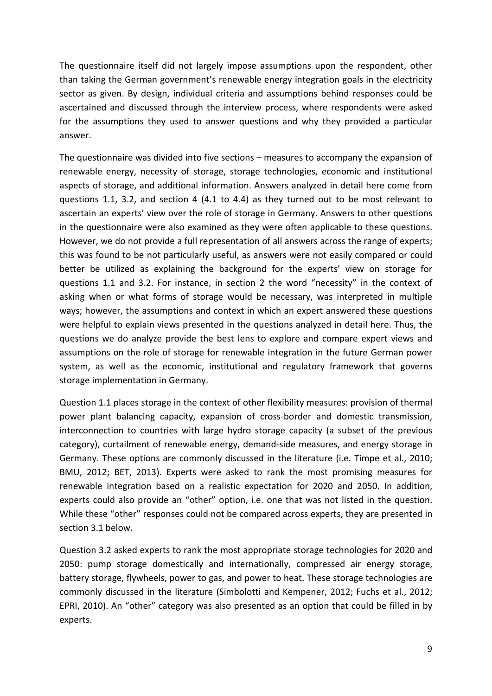The questionnaire itself did not largely impose assumptions upon the respondent, other than taking the German government's renewable energy integration goals in the electricity sector as given. By design, individual criteria and assumptions behind responses could be ascertained and discussed through the interview process, where respondents were asked for the assumptions they used to answer questions and why they provided a particular answer.

The questionnaire was divided into five sections – measures to accompany the expansion of renewable energy, necessity of storage, storage technologies, economic and institutional aspects of storage, and additional information. Answers analyzed in detail here come from questions 1.1, 3.2, and section 4 (4.1 to 4.4) as they turned out to be most relevant to ascertain an experts' view over the role of storage in Germany. Answers to other questions in the questionnaire were also examined as they were often applicable to these questions. However, we do not provide a full representation of all answers across the range of experts; this was found to be not particularly useful, as answers were not easily compared or could better be utilized as explaining the background for the experts' view on storage for questions 1.1 and 3.2. For instance, in section 2 the word "necessity" in the context of asking when or what forms of storage would be necessary, was interpreted in multiple ways; however, the assumptions and context in which an expert answered these questions were helpful to explain views presented in the questions analyzed in detail here. Thus, the questions we do analyze provide the best lens to explore and compare expert views and assumptions on the role of storage for renewable integration in the future German power system, as well as the economic, institutional and regulatory framework that governs storage implementation in Germany.

Question 1.1 places storage in the context of other flexibility measures: provision of thermal power plant balancing capacity, expansion of cross-border and domestic transmission, interconnection to countries with large hydro storage capacity (a subset of the previous category), curtailment of renewable energy, demand-side measures, and energy storage in Germany. These options are commonly discussed in the literature (i.e. Timpe et al., 2010; BMU, 2012; BET, 2013). Experts were asked to rank the most promising measures for renewable integration based on a realistic expectation for 2020 and 2050. In addition, experts could also provide an "other" option, i.e. one that was not listed in the question. While these "other" responses could not be compared across experts, they are presented in section 3.1 below.

Question 3.2 asked experts to rank the most appropriate storage technologies for 2020 and 2050: pump storage domestically and internationally, compressed air energy storage, battery storage, flywheels, power to gas, and power to heat. These storage technologies are commonly discussed in the literature (Simbolotti and Kempener, 2012; Fuchs et al., 2012; EPRI, 2010). An "other" category was also presented as an option that could be filled in by experts.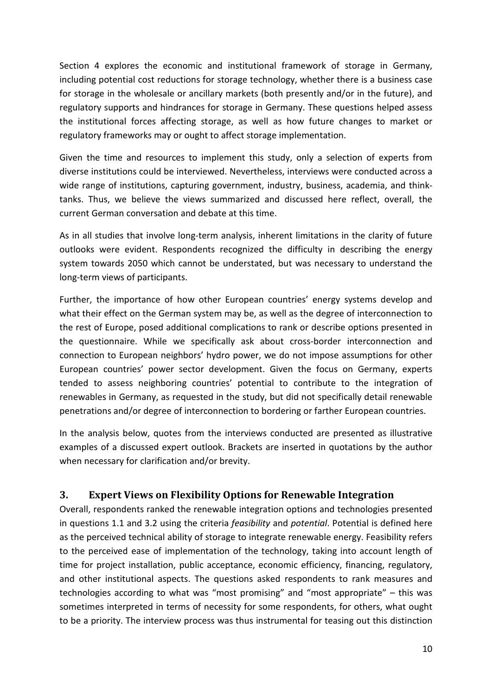Section 4 explores the economic and institutional framework of storage in Germany, including potential cost reductions for storage technology, whether there is a business case for storage in the wholesale or ancillary markets (both presently and/or in the future), and regulatory supports and hindrances for storage in Germany. These questions helped assess the institutional forces affecting storage, as well as how future changes to market or regulatory frameworks may or ought to affect storage implementation.

Given the time and resources to implement this study, only a selection of experts from diverse institutions could be interviewed. Nevertheless, interviews were conducted across a wide range of institutions, capturing government, industry, business, academia, and thinktanks. Thus, we believe the views summarized and discussed here reflect, overall, the current German conversation and debate at this time.

As in all studies that involve long-term analysis, inherent limitations in the clarity of future outlooks were evident. Respondents recognized the difficulty in describing the energy system towards 2050 which cannot be understated, but was necessary to understand the long-term views of participants.

Further, the importance of how other European countries' energy systems develop and what their effect on the German system may be, as well as the degree of interconnection to the rest of Europe, posed additional complications to rank or describe options presented in the questionnaire. While we specifically ask about cross-border interconnection and connection to European neighbors' hydro power, we do not impose assumptions for other European countries' power sector development. Given the focus on Germany, experts tended to assess neighboring countries' potential to contribute to the integration of renewables in Germany, as requested in the study, but did not specifically detail renewable penetrations and/or degree of interconnection to bordering or farther European countries.

In the analysis below, quotes from the interviews conducted are presented as illustrative examples of a discussed expert outlook. Brackets are inserted in quotations by the author when necessary for clarification and/or brevity.

# **3. Expert Views on Flexibility Options for Renewable Integration**

Overall, respondents ranked the renewable integration options and technologies presented in questions 1.1 and 3.2 using the criteria *feasibility* and *potential*. Potential is defined here as the perceived technical ability of storage to integrate renewable energy. Feasibility refers to the perceived ease of implementation of the technology, taking into account length of time for project installation, public acceptance, economic efficiency, financing, regulatory, and other institutional aspects. The questions asked respondents to rank measures and technologies according to what was "most promising" and "most appropriate" – this was sometimes interpreted in terms of necessity for some respondents, for others, what ought to be a priority. The interview process was thus instrumental for teasing out this distinction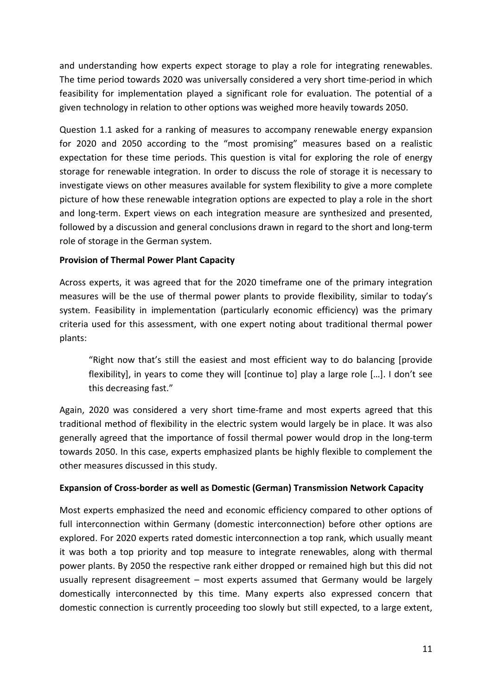and understanding how experts expect storage to play a role for integrating renewables. The time period towards 2020 was universally considered a very short time-period in which feasibility for implementation played a significant role for evaluation. The potential of a given technology in relation to other options was weighed more heavily towards 2050.

Question 1.1 asked for a ranking of measures to accompany renewable energy expansion for 2020 and 2050 according to the "most promising" measures based on a realistic expectation for these time periods. This question is vital for exploring the role of energy storage for renewable integration. In order to discuss the role of storage it is necessary to investigate views on other measures available for system flexibility to give a more complete picture of how these renewable integration options are expected to play a role in the short and long-term. Expert views on each integration measure are synthesized and presented, followed by a discussion and general conclusions drawn in regard to the short and long-term role of storage in the German system.

### **Provision of Thermal Power Plant Capacity**

Across experts, it was agreed that for the 2020 timeframe one of the primary integration measures will be the use of thermal power plants to provide flexibility, similar to today's system. Feasibility in implementation (particularly economic efficiency) was the primary criteria used for this assessment, with one expert noting about traditional thermal power plants:

"Right now that's still the easiest and most efficient way to do balancing [provide flexibility], in years to come they will [continue to] play a large role […]. I don't see this decreasing fast."

Again, 2020 was considered a very short time-frame and most experts agreed that this traditional method of flexibility in the electric system would largely be in place. It was also generally agreed that the importance of fossil thermal power would drop in the long-term towards 2050. In this case, experts emphasized plants be highly flexible to complement the other measures discussed in this study.

### **Expansion of Cross-border as well as Domestic (German) Transmission Network Capacity**

Most experts emphasized the need and economic efficiency compared to other options of full interconnection within Germany (domestic interconnection) before other options are explored. For 2020 experts rated domestic interconnection a top rank, which usually meant it was both a top priority and top measure to integrate renewables, along with thermal power plants. By 2050 the respective rank either dropped or remained high but this did not usually represent disagreement – most experts assumed that Germany would be largely domestically interconnected by this time. Many experts also expressed concern that domestic connection is currently proceeding too slowly but still expected, to a large extent,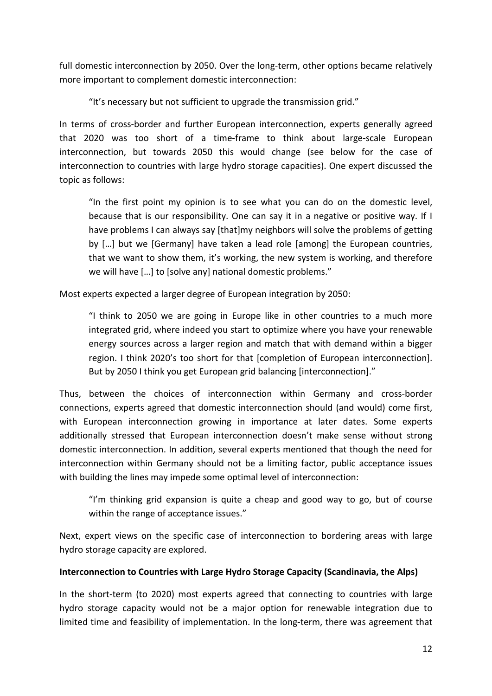full domestic interconnection by 2050. Over the long-term, other options became relatively more important to complement domestic interconnection:

"It's necessary but not sufficient to upgrade the transmission grid."

In terms of cross-border and further European interconnection, experts generally agreed that 2020 was too short of a time-frame to think about large-scale European interconnection, but towards 2050 this would change (see below for the case of interconnection to countries with large hydro storage capacities). One expert discussed the topic as follows:

"In the first point my opinion is to see what you can do on the domestic level, because that is our responsibility. One can say it in a negative or positive way. If I have problems I can always say [that]my neighbors will solve the problems of getting by […] but we [Germany] have taken a lead role [among] the European countries, that we want to show them, it's working, the new system is working, and therefore we will have […] to [solve any] national domestic problems."

Most experts expected a larger degree of European integration by 2050:

"I think to 2050 we are going in Europe like in other countries to a much more integrated grid, where indeed you start to optimize where you have your renewable energy sources across a larger region and match that with demand within a bigger region. I think 2020's too short for that [completion of European interconnection]. But by 2050 I think you get European grid balancing [interconnection]."

Thus, between the choices of interconnection within Germany and cross-border connections, experts agreed that domestic interconnection should (and would) come first, with European interconnection growing in importance at later dates. Some experts additionally stressed that European interconnection doesn't make sense without strong domestic interconnection. In addition, several experts mentioned that though the need for interconnection within Germany should not be a limiting factor, public acceptance issues with building the lines may impede some optimal level of interconnection:

"I'm thinking grid expansion is quite a cheap and good way to go, but of course within the range of acceptance issues."

Next, expert views on the specific case of interconnection to bordering areas with large hydro storage capacity are explored.

### **Interconnection to Countries with Large Hydro Storage Capacity (Scandinavia, the Alps)**

In the short-term (to 2020) most experts agreed that connecting to countries with large hydro storage capacity would not be a major option for renewable integration due to limited time and feasibility of implementation. In the long-term, there was agreement that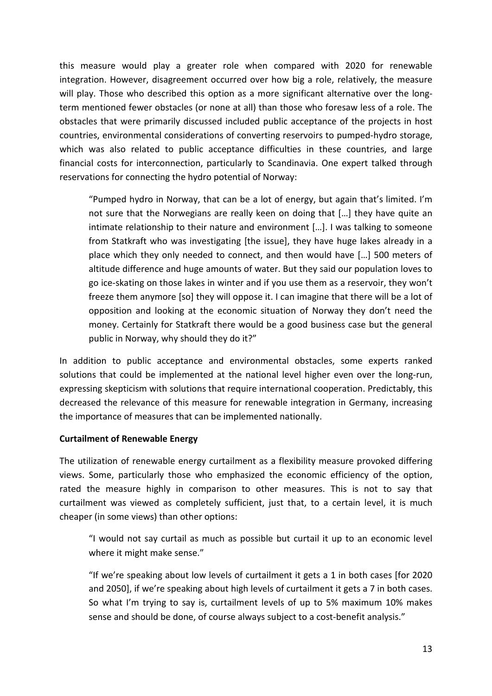this measure would play a greater role when compared with 2020 for renewable integration. However, disagreement occurred over how big a role, relatively, the measure will play. Those who described this option as a more significant alternative over the longterm mentioned fewer obstacles (or none at all) than those who foresaw less of a role. The obstacles that were primarily discussed included public acceptance of the projects in host countries, environmental considerations of converting reservoirs to pumped-hydro storage, which was also related to public acceptance difficulties in these countries, and large financial costs for interconnection, particularly to Scandinavia. One expert talked through reservations for connecting the hydro potential of Norway:

"Pumped hydro in Norway, that can be a lot of energy, but again that's limited. I'm not sure that the Norwegians are really keen on doing that […] they have quite an intimate relationship to their nature and environment […]. I was talking to someone from Statkraft who was investigating [the issue], they have huge lakes already in a place which they only needed to connect, and then would have […] 500 meters of altitude difference and huge amounts of water. But they said our population loves to go ice-skating on those lakes in winter and if you use them as a reservoir, they won't freeze them anymore [so] they will oppose it. I can imagine that there will be a lot of opposition and looking at the economic situation of Norway they don't need the money. Certainly for Statkraft there would be a good business case but the general public in Norway, why should they do it?"

In addition to public acceptance and environmental obstacles, some experts ranked solutions that could be implemented at the national level higher even over the long-run, expressing skepticism with solutions that require international cooperation. Predictably, this decreased the relevance of this measure for renewable integration in Germany, increasing the importance of measures that can be implemented nationally.

### **Curtailment of Renewable Energy**

The utilization of renewable energy curtailment as a flexibility measure provoked differing views. Some, particularly those who emphasized the economic efficiency of the option, rated the measure highly in comparison to other measures. This is not to say that curtailment was viewed as completely sufficient, just that, to a certain level, it is much cheaper (in some views) than other options:

"I would not say curtail as much as possible but curtail it up to an economic level where it might make sense."

"If we're speaking about low levels of curtailment it gets a 1 in both cases [for 2020 and 2050], if we're speaking about high levels of curtailment it gets a 7 in both cases. So what I'm trying to say is, curtailment levels of up to 5% maximum 10% makes sense and should be done, of course always subject to a cost-benefit analysis."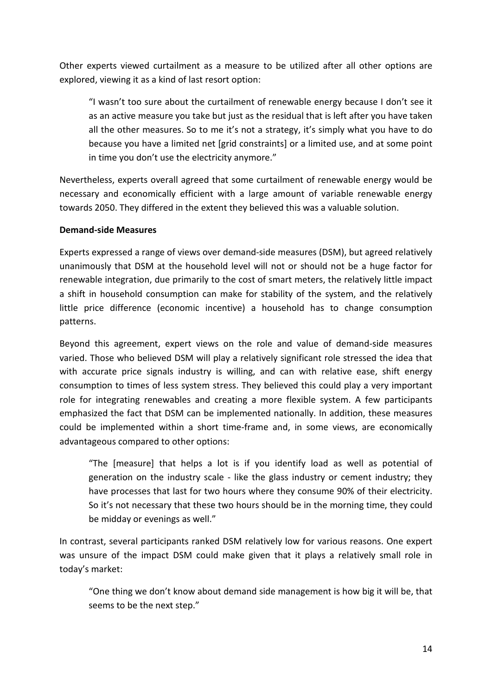Other experts viewed curtailment as a measure to be utilized after all other options are explored, viewing it as a kind of last resort option:

"I wasn't too sure about the curtailment of renewable energy because I don't see it as an active measure you take but just as the residual that is left after you have taken all the other measures. So to me it's not a strategy, it's simply what you have to do because you have a limited net [grid constraints] or a limited use, and at some point in time you don't use the electricity anymore."

Nevertheless, experts overall agreed that some curtailment of renewable energy would be necessary and economically efficient with a large amount of variable renewable energy towards 2050. They differed in the extent they believed this was a valuable solution.

### **Demand-side Measures**

Experts expressed a range of views over demand-side measures (DSM), but agreed relatively unanimously that DSM at the household level will not or should not be a huge factor for renewable integration, due primarily to the cost of smart meters, the relatively little impact a shift in household consumption can make for stability of the system, and the relatively little price difference (economic incentive) a household has to change consumption patterns.

Beyond this agreement, expert views on the role and value of demand-side measures varied. Those who believed DSM will play a relatively significant role stressed the idea that with accurate price signals industry is willing, and can with relative ease, shift energy consumption to times of less system stress. They believed this could play a very important role for integrating renewables and creating a more flexible system. A few participants emphasized the fact that DSM can be implemented nationally. In addition, these measures could be implemented within a short time-frame and, in some views, are economically advantageous compared to other options:

"The [measure] that helps a lot is if you identify load as well as potential of generation on the industry scale - like the glass industry or cement industry; they have processes that last for two hours where they consume 90% of their electricity. So it's not necessary that these two hours should be in the morning time, they could be midday or evenings as well."

In contrast, several participants ranked DSM relatively low for various reasons. One expert was unsure of the impact DSM could make given that it plays a relatively small role in today's market:

"One thing we don't know about demand side management is how big it will be, that seems to be the next step."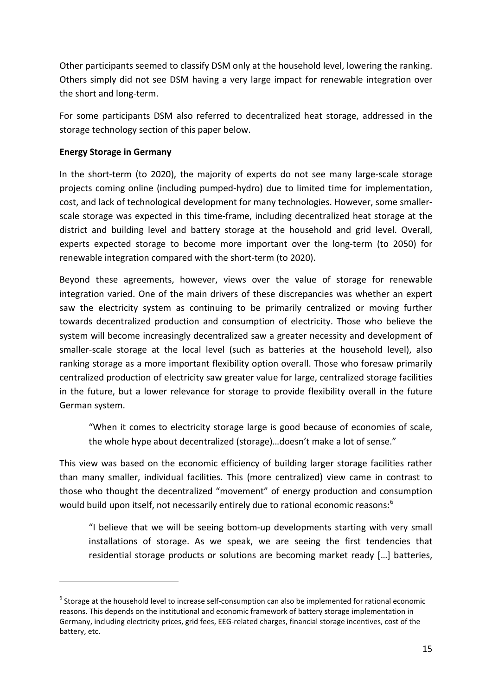Other participants seemed to classify DSM only at the household level, lowering the ranking. Others simply did not see DSM having a very large impact for renewable integration over the short and long-term.

For some participants DSM also referred to decentralized heat storage, addressed in the storage technology section of this paper below.

### **Energy Storage in Germany**

-

In the short-term (to 2020), the majority of experts do not see many large-scale storage projects coming online (including pumped-hydro) due to limited time for implementation, cost, and lack of technological development for many technologies. However, some smallerscale storage was expected in this time-frame, including decentralized heat storage at the district and building level and battery storage at the household and grid level. Overall, experts expected storage to become more important over the long-term (to 2050) for renewable integration compared with the short-term (to 2020).

Beyond these agreements, however, views over the value of storage for renewable integration varied. One of the main drivers of these discrepancies was whether an expert saw the electricity system as continuing to be primarily centralized or moving further towards decentralized production and consumption of electricity. Those who believe the system will become increasingly decentralized saw a greater necessity and development of smaller-scale storage at the local level (such as batteries at the household level), also ranking storage as a more important flexibility option overall. Those who foresaw primarily centralized production of electricity saw greater value for large, centralized storage facilities in the future, but a lower relevance for storage to provide flexibility overall in the future German system.

"When it comes to electricity storage large is good because of economies of scale, the whole hype about decentralized (storage)…doesn't make a lot of sense."

This view was based on the economic efficiency of building larger storage facilities rather than many smaller, individual facilities. This (more centralized) view came in contrast to those who thought the decentralized "movement" of energy production and consumption would build upon itself, not necessarily entirely due to rational economic reasons:<sup>[6](#page-14-0)</sup>

"I believe that we will be seeing bottom-up developments starting with very small installations of storage. As we speak, we are seeing the first tendencies that residential storage products or solutions are becoming market ready […] batteries,

<span id="page-14-0"></span><sup>&</sup>lt;sup>6</sup> Storage at the household level to increase self-consumption can also be implemented for rational economic reasons. This depends on the institutional and economic framework of battery storage implementation in Germany, including electricity prices, grid fees, EEG-related charges, financial storage incentives, cost of the battery, etc.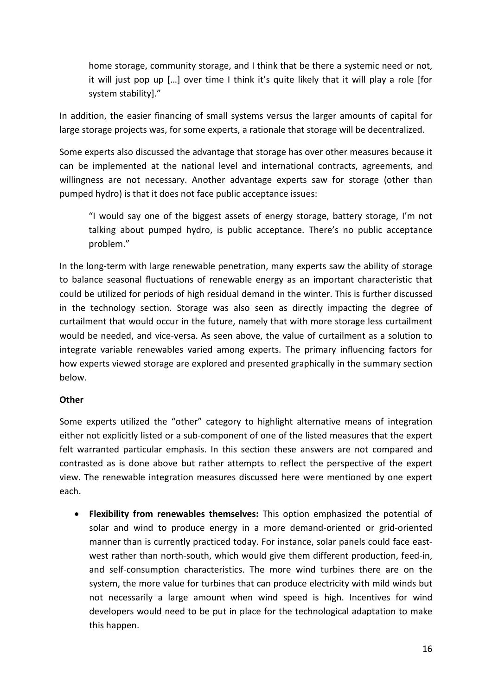home storage, community storage, and I think that be there a systemic need or not, it will just pop up […] over time I think it's quite likely that it will play a role [for system stability]."

In addition, the easier financing of small systems versus the larger amounts of capital for large storage projects was, for some experts, a rationale that storage will be decentralized.

Some experts also discussed the advantage that storage has over other measures because it can be implemented at the national level and international contracts, agreements, and willingness are not necessary. Another advantage experts saw for storage (other than pumped hydro) is that it does not face public acceptance issues:

"I would say one of the biggest assets of energy storage, battery storage, I'm not talking about pumped hydro, is public acceptance. There's no public acceptance problem."

In the long-term with large renewable penetration, many experts saw the ability of storage to balance seasonal fluctuations of renewable energy as an important characteristic that could be utilized for periods of high residual demand in the winter. This is further discussed in the technology section. Storage was also seen as directly impacting the degree of curtailment that would occur in the future, namely that with more storage less curtailment would be needed, and vice-versa. As seen above, the value of curtailment as a solution to integrate variable renewables varied among experts. The primary influencing factors for how experts viewed storage are explored and presented graphically in the summary section below.

### **Other**

Some experts utilized the "other" category to highlight alternative means of integration either not explicitly listed or a sub-component of one of the listed measures that the expert felt warranted particular emphasis. In this section these answers are not compared and contrasted as is done above but rather attempts to reflect the perspective of the expert view. The renewable integration measures discussed here were mentioned by one expert each.

• **Flexibility from renewables themselves:** This option emphasized the potential of solar and wind to produce energy in a more demand-oriented or grid-oriented manner than is currently practiced today. For instance, solar panels could face eastwest rather than north-south, which would give them different production, feed-in, and self-consumption characteristics. The more wind turbines there are on the system, the more value for turbines that can produce electricity with mild winds but not necessarily a large amount when wind speed is high. Incentives for wind developers would need to be put in place for the technological adaptation to make this happen.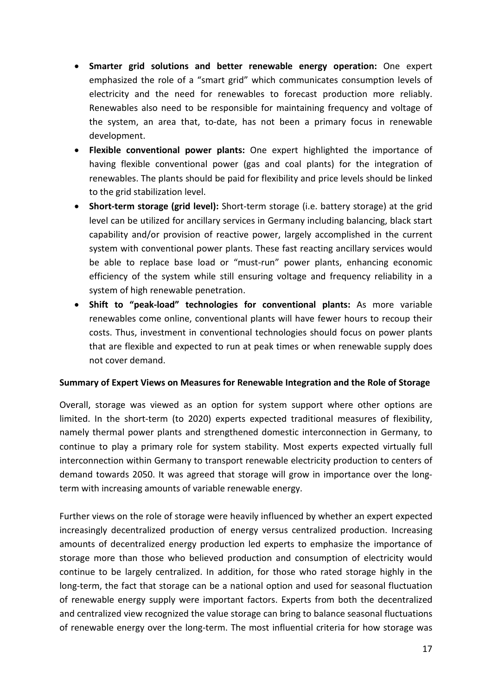- **Smarter grid solutions and better renewable energy operation:** One expert emphasized the role of a "smart grid" which communicates consumption levels of electricity and the need for renewables to forecast production more reliably. Renewables also need to be responsible for maintaining frequency and voltage of the system, an area that, to-date, has not been a primary focus in renewable development.
- **Flexible conventional power plants:** One expert highlighted the importance of having flexible conventional power (gas and coal plants) for the integration of renewables. The plants should be paid for flexibility and price levels should be linked to the grid stabilization level.
- **Short-term storage (grid level):** Short-term storage (i.e. battery storage) at the grid level can be utilized for ancillary services in Germany including balancing, black start capability and/or provision of reactive power, largely accomplished in the current system with conventional power plants. These fast reacting ancillary services would be able to replace base load or "must-run" power plants, enhancing economic efficiency of the system while still ensuring voltage and frequency reliability in a system of high renewable penetration.
- **Shift to "peak-load" technologies for conventional plants:** As more variable renewables come online, conventional plants will have fewer hours to recoup their costs. Thus, investment in conventional technologies should focus on power plants that are flexible and expected to run at peak times or when renewable supply does not cover demand.

#### **Summary of Expert Views on Measures for Renewable Integration and the Role of Storage**

Overall, storage was viewed as an option for system support where other options are limited. In the short-term (to 2020) experts expected traditional measures of flexibility, namely thermal power plants and strengthened domestic interconnection in Germany, to continue to play a primary role for system stability. Most experts expected virtually full interconnection within Germany to transport renewable electricity production to centers of demand towards 2050. It was agreed that storage will grow in importance over the longterm with increasing amounts of variable renewable energy.

Further views on the role of storage were heavily influenced by whether an expert expected increasingly decentralized production of energy versus centralized production. Increasing amounts of decentralized energy production led experts to emphasize the importance of storage more than those who believed production and consumption of electricity would continue to be largely centralized. In addition, for those who rated storage highly in the long-term, the fact that storage can be a national option and used for seasonal fluctuation of renewable energy supply were important factors. Experts from both the decentralized and centralized view recognized the value storage can bring to balance seasonal fluctuations of renewable energy over the long-term. The most influential criteria for how storage was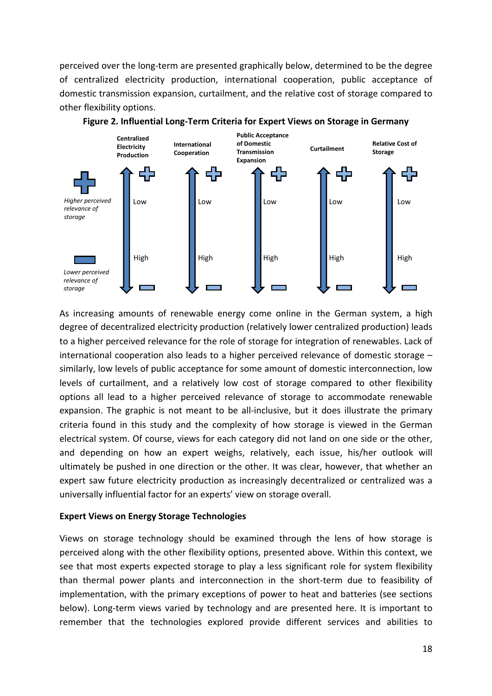perceived over the long-term are presented graphically below, determined to be the degree of centralized electricity production, international cooperation, public acceptance of domestic transmission expansion, curtailment, and the relative cost of storage compared to other flexibility options.





As increasing amounts of renewable energy come online in the German system, a high degree of decentralized electricity production (relatively lower centralized production) leads to a higher perceived relevance for the role of storage for integration of renewables. Lack of international cooperation also leads to a higher perceived relevance of domestic storage – similarly, low levels of public acceptance for some amount of domestic interconnection, low levels of curtailment, and a relatively low cost of storage compared to other flexibility options all lead to a higher perceived relevance of storage to accommodate renewable expansion. The graphic is not meant to be all-inclusive, but it does illustrate the primary criteria found in this study and the complexity of how storage is viewed in the German electrical system. Of course, views for each category did not land on one side or the other, and depending on how an expert weighs, relatively, each issue, his/her outlook will ultimately be pushed in one direction or the other. It was clear, however, that whether an expert saw future electricity production as increasingly decentralized or centralized was a universally influential factor for an experts' view on storage overall.

#### **Expert Views on Energy Storage Technologies**

Views on storage technology should be examined through the lens of how storage is perceived along with the other flexibility options, presented above. Within this context, we see that most experts expected storage to play a less significant role for system flexibility than thermal power plants and interconnection in the short-term due to feasibility of implementation, with the primary exceptions of power to heat and batteries (see sections below). Long-term views varied by technology and are presented here. It is important to remember that the technologies explored provide different services and abilities to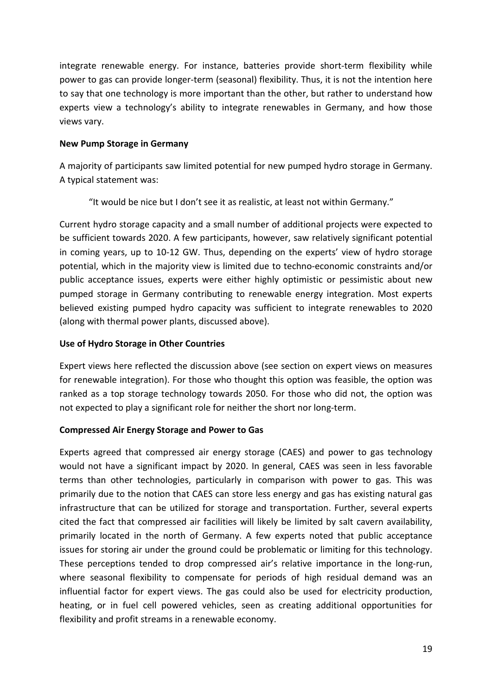integrate renewable energy. For instance, batteries provide short-term flexibility while power to gas can provide longer-term (seasonal) flexibility. Thus, it is not the intention here to say that one technology is more important than the other, but rather to understand how experts view a technology's ability to integrate renewables in Germany, and how those views vary.

#### **New Pump Storage in Germany**

A majority of participants saw limited potential for new pumped hydro storage in Germany. A typical statement was:

"It would be nice but I don't see it as realistic, at least not within Germany."

Current hydro storage capacity and a small number of additional projects were expected to be sufficient towards 2020. A few participants, however, saw relatively significant potential in coming years, up to 10-12 GW. Thus, depending on the experts' view of hydro storage potential, which in the majority view is limited due to techno-economic constraints and/or public acceptance issues, experts were either highly optimistic or pessimistic about new pumped storage in Germany contributing to renewable energy integration. Most experts believed existing pumped hydro capacity was sufficient to integrate renewables to 2020 (along with thermal power plants, discussed above).

## **Use of Hydro Storage in Other Countries**

Expert views here reflected the discussion above (see section on expert views on measures for renewable integration). For those who thought this option was feasible, the option was ranked as a top storage technology towards 2050. For those who did not, the option was not expected to play a significant role for neither the short nor long-term.

### **Compressed Air Energy Storage and Power to Gas**

Experts agreed that compressed air energy storage (CAES) and power to gas technology would not have a significant impact by 2020. In general, CAES was seen in less favorable terms than other technologies, particularly in comparison with power to gas. This was primarily due to the notion that CAES can store less energy and gas has existing natural gas infrastructure that can be utilized for storage and transportation. Further, several experts cited the fact that compressed air facilities will likely be limited by salt cavern availability, primarily located in the north of Germany. A few experts noted that public acceptance issues for storing air under the ground could be problematic or limiting for this technology. These perceptions tended to drop compressed air's relative importance in the long-run, where seasonal flexibility to compensate for periods of high residual demand was an influential factor for expert views. The gas could also be used for electricity production, heating, or in fuel cell powered vehicles, seen as creating additional opportunities for flexibility and profit streams in a renewable economy.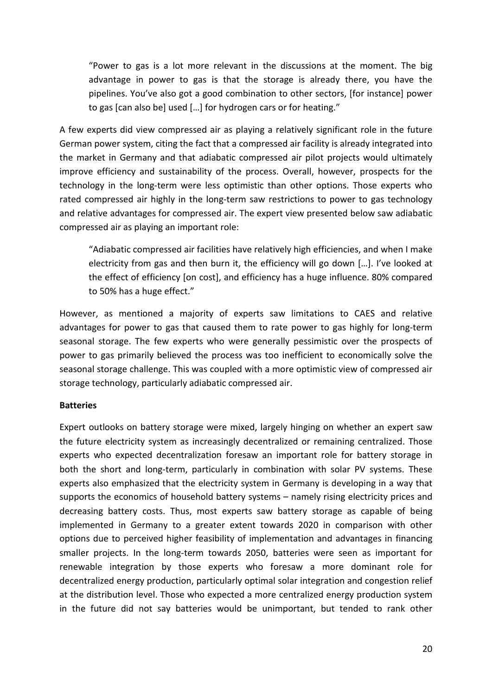"Power to gas is a lot more relevant in the discussions at the moment. The big advantage in power to gas is that the storage is already there, you have the pipelines. You've also got a good combination to other sectors, [for instance] power to gas [can also be] used […] for hydrogen cars or for heating."

A few experts did view compressed air as playing a relatively significant role in the future German power system, citing the fact that a compressed air facility is already integrated into the market in Germany and that adiabatic compressed air pilot projects would ultimately improve efficiency and sustainability of the process. Overall, however, prospects for the technology in the long-term were less optimistic than other options. Those experts who rated compressed air highly in the long-term saw restrictions to power to gas technology and relative advantages for compressed air. The expert view presented below saw adiabatic compressed air as playing an important role:

"Adiabatic compressed air facilities have relatively high efficiencies, and when I make electricity from gas and then burn it, the efficiency will go down […]. I've looked at the effect of efficiency [on cost], and efficiency has a huge influence. 80% compared to 50% has a huge effect."

However, as mentioned a majority of experts saw limitations to CAES and relative advantages for power to gas that caused them to rate power to gas highly for long-term seasonal storage. The few experts who were generally pessimistic over the prospects of power to gas primarily believed the process was too inefficient to economically solve the seasonal storage challenge. This was coupled with a more optimistic view of compressed air storage technology, particularly adiabatic compressed air.

#### **Batteries**

Expert outlooks on battery storage were mixed, largely hinging on whether an expert saw the future electricity system as increasingly decentralized or remaining centralized. Those experts who expected decentralization foresaw an important role for battery storage in both the short and long-term, particularly in combination with solar PV systems. These experts also emphasized that the electricity system in Germany is developing in a way that supports the economics of household battery systems – namely rising electricity prices and decreasing battery costs. Thus, most experts saw battery storage as capable of being implemented in Germany to a greater extent towards 2020 in comparison with other options due to perceived higher feasibility of implementation and advantages in financing smaller projects. In the long-term towards 2050, batteries were seen as important for renewable integration by those experts who foresaw a more dominant role for decentralized energy production, particularly optimal solar integration and congestion relief at the distribution level. Those who expected a more centralized energy production system in the future did not say batteries would be unimportant, but tended to rank other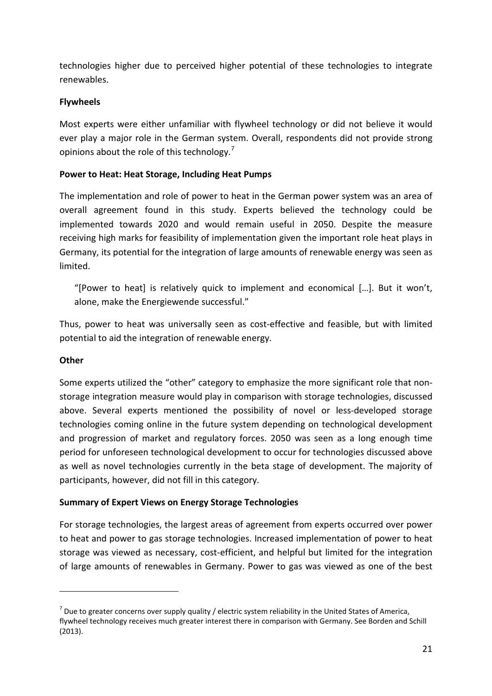technologies higher due to perceived higher potential of these technologies to integrate renewables.

### **Flywheels**

Most experts were either unfamiliar with flywheel technology or did not believe it would ever play a major role in the German system. Overall, respondents did not provide strong opinions about the role of this technology.<sup>[7](#page-20-0)</sup>

#### **Power to Heat: Heat Storage, Including Heat Pumps**

The implementation and role of power to heat in the German power system was an area of overall agreement found in this study. Experts believed the technology could be implemented towards 2020 and would remain useful in 2050. Despite the measure receiving high marks for feasibility of implementation given the important role heat plays in Germany, its potential for the integration of large amounts of renewable energy was seen as limited.

"[Power to heat] is relatively quick to implement and economical […]. But it won't, alone, make the Energiewende successful."

Thus, power to heat was universally seen as cost-effective and feasible, but with limited potential to aid the integration of renewable energy.

#### **Other**

1

Some experts utilized the "other" category to emphasize the more significant role that nonstorage integration measure would play in comparison with storage technologies, discussed above. Several experts mentioned the possibility of novel or less-developed storage technologies coming online in the future system depending on technological development and progression of market and regulatory forces. 2050 was seen as a long enough time period for unforeseen technological development to occur for technologies discussed above as well as novel technologies currently in the beta stage of development. The majority of participants, however, did not fill in this category.

### **Summary of Expert Views on Energy Storage Technologies**

For storage technologies, the largest areas of agreement from experts occurred over power to heat and power to gas storage technologies. Increased implementation of power to heat storage was viewed as necessary, cost-efficient, and helpful but limited for the integration of large amounts of renewables in Germany. Power to gas was viewed as one of the best

<span id="page-20-0"></span> $^7$  Due to greater concerns over supply quality / electric system reliability in the United States of America, flywheel technology receives much greater interest there in comparison with Germany. See Borden and Schill (2013).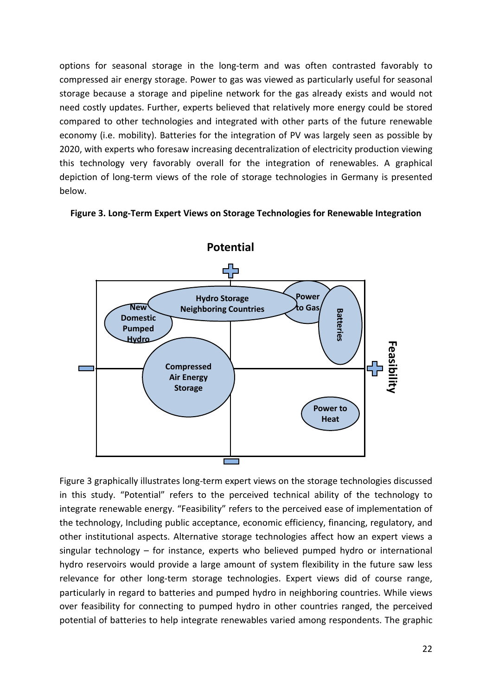options for seasonal storage in the long-term and was often contrasted favorably to compressed air energy storage. Power to gas was viewed as particularly useful for seasonal storage because a storage and pipeline network for the gas already exists and would not need costly updates. Further, experts believed that relatively more energy could be stored compared to other technologies and integrated with other parts of the future renewable economy (i.e. mobility). Batteries for the integration of PV was largely seen as possible by 2020, with experts who foresaw increasing decentralization of electricity production viewing this technology very favorably overall for the integration of renewables. A graphical depiction of long-term views of the role of storage technologies in Germany is presented below.



#### **Figure 3. Long-Term Expert Views on Storage Technologies for Renewable Integration**

Figure 3 graphically illustrates long-term expert views on the storage technologies discussed in this study. "Potential" refers to the perceived technical ability of the technology to integrate renewable energy. "Feasibility" refers to the perceived ease of implementation of the technology, Including public acceptance, economic efficiency, financing, regulatory, and other institutional aspects. Alternative storage technologies affect how an expert views a singular technology – for instance, experts who believed pumped hydro or international hydro reservoirs would provide a large amount of system flexibility in the future saw less relevance for other long-term storage technologies. Expert views did of course range, particularly in regard to batteries and pumped hydro in neighboring countries. While views over feasibility for connecting to pumped hydro in other countries ranged, the perceived Compressed<br>
Storage<br>
Storage<br>
Storage<br>
Storage<br>
Storage<br>
Storage<br>
Storage<br>
The storage<br>
Storage<br>
In this study. "Potential" refers to the perceived technical ability of the technology to<br>
integrate renewable energy. "Feasi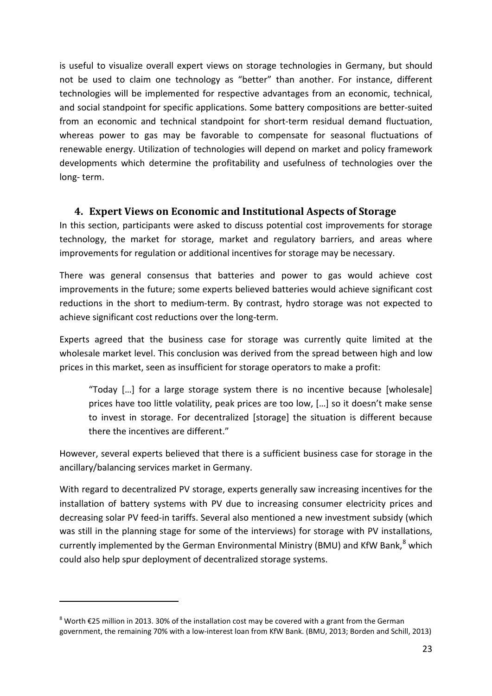is useful to visualize overall expert views on storage technologies in Germany, but should not be used to claim one technology as "better" than another. For instance, different technologies will be implemented for respective advantages from an economic, technical, and social standpoint for specific applications. Some battery compositions are better-suited from an economic and technical standpoint for short-term residual demand fluctuation, whereas power to gas may be favorable to compensate for seasonal fluctuations of renewable energy. Utilization of technologies will depend on market and policy framework developments which determine the profitability and usefulness of technologies over the long- term.

## **4. Expert Views on Economic and Institutional Aspects of Storage**

In this section, participants were asked to discuss potential cost improvements for storage technology, the market for storage, market and regulatory barriers, and areas where improvements for regulation or additional incentives for storage may be necessary.

There was general consensus that batteries and power to gas would achieve cost improvements in the future; some experts believed batteries would achieve significant cost reductions in the short to medium-term. By contrast, hydro storage was not expected to achieve significant cost reductions over the long-term.

Experts agreed that the business case for storage was currently quite limited at the wholesale market level. This conclusion was derived from the spread between high and low prices in this market, seen as insufficient for storage operators to make a profit:

"Today […] for a large storage system there is no incentive because [wholesale] prices have too little volatility, peak prices are too low, […] so it doesn't make sense to invest in storage. For decentralized [storage] the situation is different because there the incentives are different."

However, several experts believed that there is a sufficient business case for storage in the ancillary/balancing services market in Germany.

With regard to decentralized PV storage, experts generally saw increasing incentives for the installation of battery systems with PV due to increasing consumer electricity prices and decreasing solar PV feed-in tariffs. Several also mentioned a new investment subsidy (which was still in the planning stage for some of the interviews) for storage with PV installations, currently implemented by the German Environmental Ministry (BMU) and KfW Bank,<sup>[8](#page-22-0)</sup> which could also help spur deployment of decentralized storage systems.

-

<span id="page-22-0"></span><sup>8</sup> Worth €25 million in 2013. 30% of the installation cost may be covered with a grant from the German government, the remaining 70% with a low-interest loan from KfW Bank. (BMU, 2013; Borden and Schill, 2013)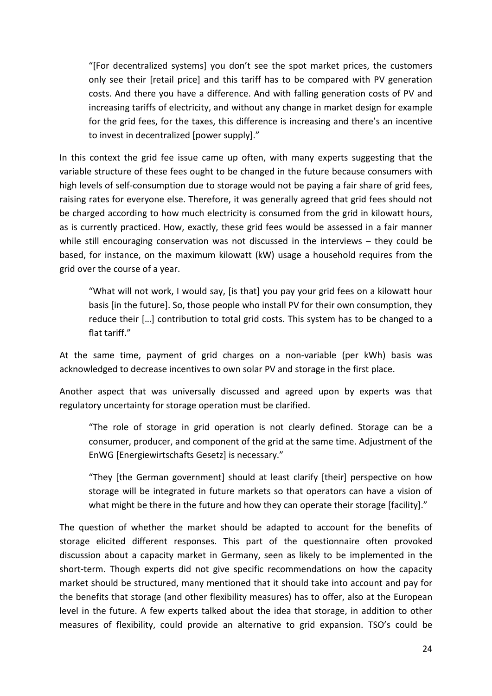"[For decentralized systems] you don't see the spot market prices, the customers only see their [retail price] and this tariff has to be compared with PV generation costs. And there you have a difference. And with falling generation costs of PV and increasing tariffs of electricity, and without any change in market design for example for the grid fees, for the taxes, this difference is increasing and there's an incentive to invest in decentralized [power supply]."

In this context the grid fee issue came up often, with many experts suggesting that the variable structure of these fees ought to be changed in the future because consumers with high levels of self-consumption due to storage would not be paying a fair share of grid fees, raising rates for everyone else. Therefore, it was generally agreed that grid fees should not be charged according to how much electricity is consumed from the grid in kilowatt hours, as is currently practiced. How, exactly, these grid fees would be assessed in a fair manner while still encouraging conservation was not discussed in the interviews – they could be based, for instance, on the maximum kilowatt (kW) usage a household requires from the grid over the course of a year.

"What will not work, I would say, [is that] you pay your grid fees on a kilowatt hour basis [in the future]. So, those people who install PV for their own consumption, they reduce their […] contribution to total grid costs. This system has to be changed to a flat tariff."

At the same time, payment of grid charges on a non-variable (per kWh) basis was acknowledged to decrease incentives to own solar PV and storage in the first place.

Another aspect that was universally discussed and agreed upon by experts was that regulatory uncertainty for storage operation must be clarified.

"The role of storage in grid operation is not clearly defined. Storage can be a consumer, producer, and component of the grid at the same time. Adjustment of the EnWG [Energiewirtschafts Gesetz] is necessary."

"They [the German government] should at least clarify [their] perspective on how storage will be integrated in future markets so that operators can have a vision of what might be there in the future and how they can operate their storage [facility]."

The question of whether the market should be adapted to account for the benefits of storage elicited different responses. This part of the questionnaire often provoked discussion about a capacity market in Germany, seen as likely to be implemented in the short-term. Though experts did not give specific recommendations on how the capacity market should be structured, many mentioned that it should take into account and pay for the benefits that storage (and other flexibility measures) has to offer, also at the European level in the future. A few experts talked about the idea that storage, in addition to other measures of flexibility, could provide an alternative to grid expansion. TSO's could be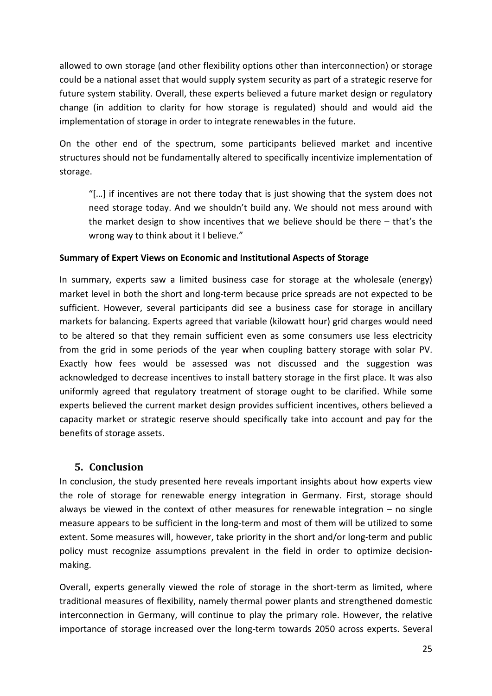allowed to own storage (and other flexibility options other than interconnection) or storage could be a national asset that would supply system security as part of a strategic reserve for future system stability. Overall, these experts believed a future market design or regulatory change (in addition to clarity for how storage is regulated) should and would aid the implementation of storage in order to integrate renewables in the future.

On the other end of the spectrum, some participants believed market and incentive structures should not be fundamentally altered to specifically incentivize implementation of storage.

"[…] if incentives are not there today that is just showing that the system does not need storage today. And we shouldn't build any. We should not mess around with the market design to show incentives that we believe should be there – that's the wrong way to think about it I believe."

### **Summary of Expert Views on Economic and Institutional Aspects of Storage**

In summary, experts saw a limited business case for storage at the wholesale (energy) market level in both the short and long-term because price spreads are not expected to be sufficient. However, several participants did see a business case for storage in ancillary markets for balancing. Experts agreed that variable (kilowatt hour) grid charges would need to be altered so that they remain sufficient even as some consumers use less electricity from the grid in some periods of the year when coupling battery storage with solar PV. Exactly how fees would be assessed was not discussed and the suggestion was acknowledged to decrease incentives to install battery storage in the first place. It was also uniformly agreed that regulatory treatment of storage ought to be clarified. While some experts believed the current market design provides sufficient incentives, others believed a capacity market or strategic reserve should specifically take into account and pay for the benefits of storage assets.

# **5. Conclusion**

In conclusion, the study presented here reveals important insights about how experts view the role of storage for renewable energy integration in Germany. First, storage should always be viewed in the context of other measures for renewable integration  $-$  no single measure appears to be sufficient in the long-term and most of them will be utilized to some extent. Some measures will, however, take priority in the short and/or long-term and public policy must recognize assumptions prevalent in the field in order to optimize decisionmaking.

Overall, experts generally viewed the role of storage in the short-term as limited, where traditional measures of flexibility, namely thermal power plants and strengthened domestic interconnection in Germany, will continue to play the primary role. However, the relative importance of storage increased over the long-term towards 2050 across experts. Several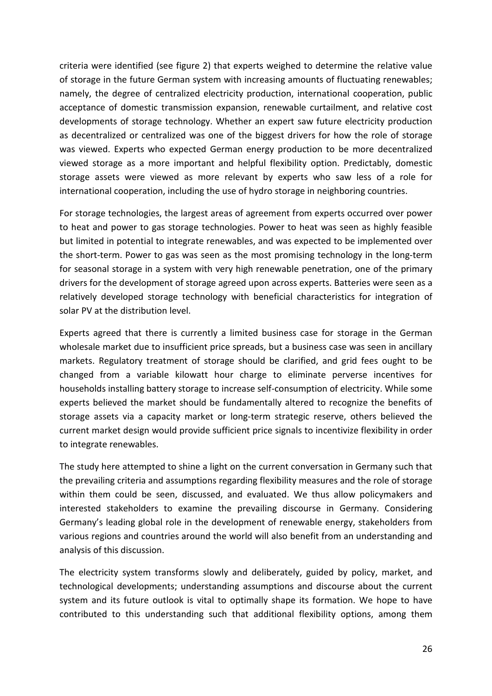criteria were identified (see figure 2) that experts weighed to determine the relative value of storage in the future German system with increasing amounts of fluctuating renewables; namely, the degree of centralized electricity production, international cooperation, public acceptance of domestic transmission expansion, renewable curtailment, and relative cost developments of storage technology. Whether an expert saw future electricity production as decentralized or centralized was one of the biggest drivers for how the role of storage was viewed. Experts who expected German energy production to be more decentralized viewed storage as a more important and helpful flexibility option. Predictably, domestic storage assets were viewed as more relevant by experts who saw less of a role for international cooperation, including the use of hydro storage in neighboring countries.

For storage technologies, the largest areas of agreement from experts occurred over power to heat and power to gas storage technologies. Power to heat was seen as highly feasible but limited in potential to integrate renewables, and was expected to be implemented over the short-term. Power to gas was seen as the most promising technology in the long-term for seasonal storage in a system with very high renewable penetration, one of the primary drivers for the development of storage agreed upon across experts. Batteries were seen as a relatively developed storage technology with beneficial characteristics for integration of solar PV at the distribution level.

Experts agreed that there is currently a limited business case for storage in the German wholesale market due to insufficient price spreads, but a business case was seen in ancillary markets. Regulatory treatment of storage should be clarified, and grid fees ought to be changed from a variable kilowatt hour charge to eliminate perverse incentives for households installing battery storage to increase self-consumption of electricity. While some experts believed the market should be fundamentally altered to recognize the benefits of storage assets via a capacity market or long-term strategic reserve, others believed the current market design would provide sufficient price signals to incentivize flexibility in order to integrate renewables.

The study here attempted to shine a light on the current conversation in Germany such that the prevailing criteria and assumptions regarding flexibility measures and the role of storage within them could be seen, discussed, and evaluated. We thus allow policymakers and interested stakeholders to examine the prevailing discourse in Germany. Considering Germany's leading global role in the development of renewable energy, stakeholders from various regions and countries around the world will also benefit from an understanding and analysis of this discussion.

The electricity system transforms slowly and deliberately, guided by policy, market, and technological developments; understanding assumptions and discourse about the current system and its future outlook is vital to optimally shape its formation. We hope to have contributed to this understanding such that additional flexibility options, among them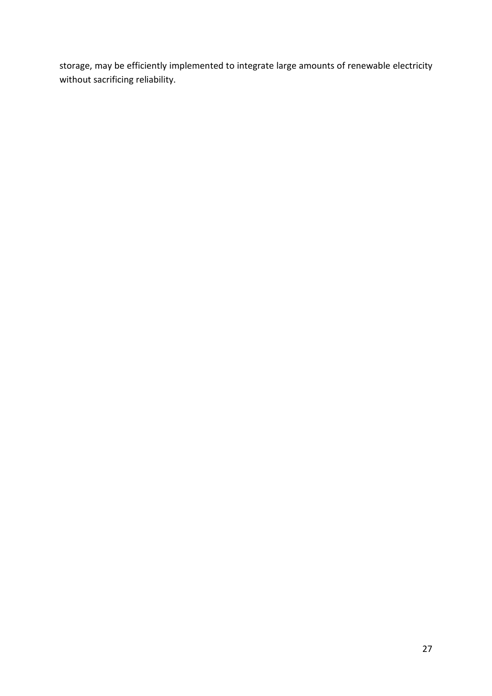storage, may be efficiently implemented to integrate large amounts of renewable electricity without sacrificing reliability.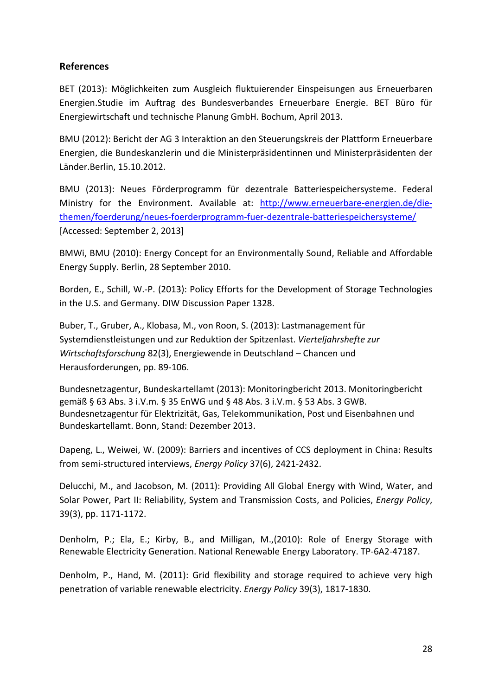#### **References**

BET (2013): Möglichkeiten zum Ausgleich fluktuierender Einspeisungen aus Erneuerbaren Energien.Studie im Auftrag des Bundesverbandes Erneuerbare Energie. BET Büro für Energiewirtschaft und technische Planung GmbH. Bochum, April 2013.

BMU (2012): Bericht der AG 3 Interaktion an den Steuerungskreis der Plattform Erneuerbare Energien, die Bundeskanzlerin und die Ministerpräsidentinnen und Ministerpräsidenten der Länder.Berlin, 15.10.2012.

BMU (2013): Neues Förderprogramm für dezentrale Batteriespeichersysteme. Federal Ministry for the Environment. Available at: [http://www.erneuerbare-energien.de/die](http://www.erneuerbare-energien.de/die-themen/foerderung/neues-foerderprogramm-fuer-dezentrale-batteriespeichersysteme/)[themen/foerderung/neues-foerderprogramm-fuer-dezentrale-batteriespeichersysteme/](http://www.erneuerbare-energien.de/die-themen/foerderung/neues-foerderprogramm-fuer-dezentrale-batteriespeichersysteme/) [Accessed: September 2, 2013]

BMWi, BMU (2010): Energy Concept for an Environmentally Sound, Reliable and Affordable Energy Supply. Berlin, 28 September 2010.

Borden, E., Schill, W.-P. (2013): Policy Efforts for the Development of Storage Technologies in the U.S. and Germany. DIW Discussion Paper 1328.

Buber, T., Gruber, A., Klobasa, M., von Roon, S. (2013): Lastmanagement für Systemdienstleistungen und zur Reduktion der Spitzenlast. *Vierteljahrshefte zur Wirtschaftsforschung* 82(3), Energiewende in Deutschland – Chancen und Herausforderungen, pp. 89-106.

Bundesnetzagentur, Bundeskartellamt (2013): Monitoringbericht 2013. Monitoringbericht gemäß § 63 Abs. 3 i.V.m. § 35 EnWG und § 48 Abs. 3 i.V.m. § 53 Abs. 3 GWB. Bundesnetzagentur für Elektrizität, Gas, Telekommunikation, Post und Eisenbahnen und Bundeskartellamt. Bonn, Stand: Dezember 2013.

Dapeng, L., Weiwei, W. (2009): Barriers and incentives of CCS deployment in China: Results from semi-structured interviews, *Energy Policy* 37(6), 2421-2432.

Delucchi, M., and Jacobson, M. (2011): Providing All Global Energy with Wind, Water, and Solar Power, Part II: Reliability, System and Transmission Costs, and Policies, *Energy Policy*, 39(3), pp. 1171-1172.

Denholm, P.; Ela, E.; Kirby, B., and Milligan, M.,(2010): Role of Energy Storage with Renewable Electricity Generation. National Renewable Energy Laboratory. TP-6A2-47187.

Denholm, P., Hand, M. (2011): Grid flexibility and storage required to achieve very high penetration of variable renewable electricity. *Energy Policy* 39(3), 1817-1830.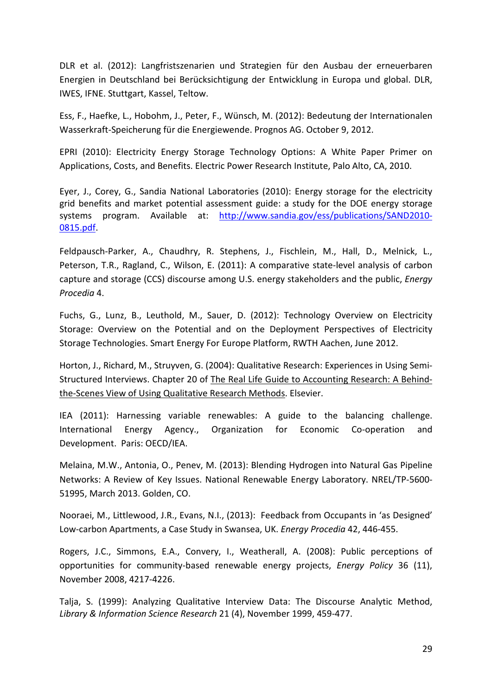DLR et al. (2012): Langfristszenarien und Strategien für den Ausbau der erneuerbaren Energien in Deutschland bei Berücksichtigung der Entwicklung in Europa und global. DLR, IWES, IFNE. Stuttgart, Kassel, Teltow.

Ess, F., Haefke, L., Hobohm, J., Peter, F., Wünsch, M. (2012): Bedeutung der Internationalen Wasserkraft-Speicherung für die Energiewende. Prognos AG. October 9, 2012.

EPRI (2010): Electricity Energy Storage Technology Options: A White Paper Primer on Applications, Costs, and Benefits. Electric Power Research Institute, Palo Alto, CA, 2010.

Eyer, J., Corey, G., Sandia National Laboratories (2010): Energy storage for the electricity grid benefits and market potential assessment guide: a study for the DOE energy storage systems program. Available at: [http://www.sandia.gov/ess/publications/SAND2010-](http://www.sandia.gov/ess/publications/SAND2010-0815.pdf) [0815.pdf.](http://www.sandia.gov/ess/publications/SAND2010-0815.pdf)

Feldpausch-Parker, A., Chaudhry, R. Stephens, J., Fischlein, M., Hall, D., Melnick, L., Peterson, T.R., Ragland, C., Wilson, E. (2011): A comparative state-level analysis of carbon capture and storage (CCS) discourse among U.S. energy stakeholders and the public, *Energy Procedia* 4.

Fuchs, G., Lunz, B., Leuthold, M., Sauer, D. (2012): Technology Overview on Electricity Storage: Overview on the Potential and on the Deployment Perspectives of Electricity Storage Technologies. Smart Energy For Europe Platform, RWTH Aachen, June 2012.

Horton, J., Richard, M., Struyven, G. (2004): Qualitative Research: Experiences in Using Semi-Structured Interviews. Chapter 20 of The Real Life Guide to Accounting Research: A Behindthe-Scenes View of Using Qualitative Research Methods. Elsevier.

IEA (2011): Harnessing variable renewables: A guide to the balancing challenge. International Energy Agency., Organization for Economic Co-operation and Development. Paris: OECD/IEA.

Melaina, M.W., Antonia, O., Penev, M. (2013): Blending Hydrogen into Natural Gas Pipeline Networks: A Review of Key Issues. National Renewable Energy Laboratory. NREL/TP-5600- 51995, March 2013. Golden, CO.

Nooraei, M., Littlewood, J.R., Evans, N.I., (2013): Feedback from Occupants in 'as Designed' Low-carbon Apartments, a Case Study in Swansea, UK. *Energy Procedia* 42, 446-455.

Rogers, J.C., Simmons, E.A., Convery, I., Weatherall, A. (2008): Public perceptions of opportunities for community-based renewable energy projects, *Energy Policy* 36 (11), November 2008, 4217-4226.

Talja, S. (1999): Analyzing Qualitative Interview Data: The Discourse Analytic Method, *Library & Information Science Research* 21 (4), November 1999, 459-477.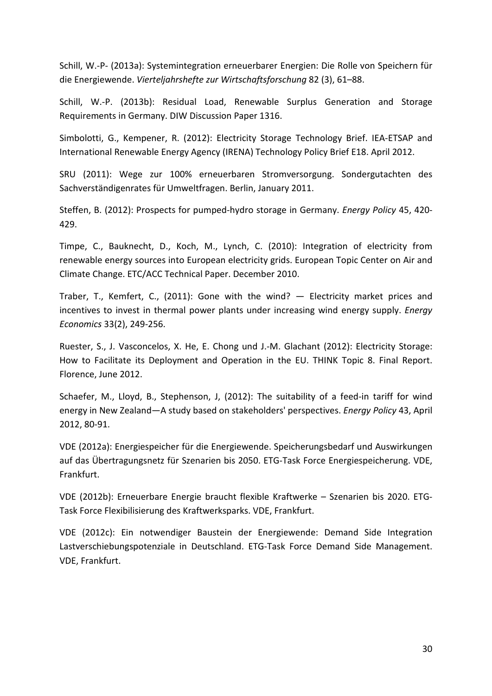Schill, W.-P- (2013a): Systemintegration erneuerbarer Energien: Die Rolle von Speichern für die Energiewende. *Vierteljahrshefte zur Wirtschaftsforschung* 82 (3), 61–88.

Schill, W.-P. (2013b): Residual Load, Renewable Surplus Generation and Storage Requirements in Germany. DIW Discussion Paper 1316.

Simbolotti, G., Kempener, R. (2012): Electricity Storage Technology Brief. IEA-ETSAP and International Renewable Energy Agency (IRENA) Technology Policy Brief E18. April 2012.

SRU (2011): Wege zur 100% erneuerbaren Stromversorgung. Sondergutachten des Sachverständigenrates für Umweltfragen. Berlin, January 2011.

Steffen, B. (2012): Prospects for pumped-hydro storage in Germany. *Energy Policy* 45, 420- 429.

Timpe, C., Bauknecht, D., Koch, M., Lynch, C. (2010): Integration of electricity from renewable energy sources into European electricity grids. European Topic Center on Air and Climate Change. ETC/ACC Technical Paper. December 2010.

Traber, T., Kemfert, C., (2011): Gone with the wind? — Electricity market prices and incentives to invest in thermal power plants under increasing wind energy supply. *Energy Economics* 33(2), 249-256.

Ruester, S., J. Vasconcelos, X. He, E. Chong und J.-M. Glachant (2012): Electricity Storage: How to Facilitate its Deployment and Operation in the EU. THINK Topic 8. Final Report. Florence, June 2012.

Schaefer, M., Lloyd, B., Stephenson, J, (2012): The suitability of a feed-in tariff for wind energy in New Zealand—A study based on stakeholders' perspectives. *Energy Policy* 43, April 2012, 80-91.

VDE (2012a): Energiespeicher für die Energiewende. Speicherungsbedarf und Auswirkungen auf das Übertragungsnetz für Szenarien bis 2050. ETG-Task Force Energiespeicherung. VDE, Frankfurt.

VDE (2012b): Erneuerbare Energie braucht flexible Kraftwerke – Szenarien bis 2020. ETG-Task Force Flexibilisierung des Kraftwerksparks. VDE, Frankfurt.

VDE (2012c): Ein notwendiger Baustein der Energiewende: Demand Side Integration Lastverschiebungspotenziale in Deutschland. ETG-Task Force Demand Side Management. VDE, Frankfurt.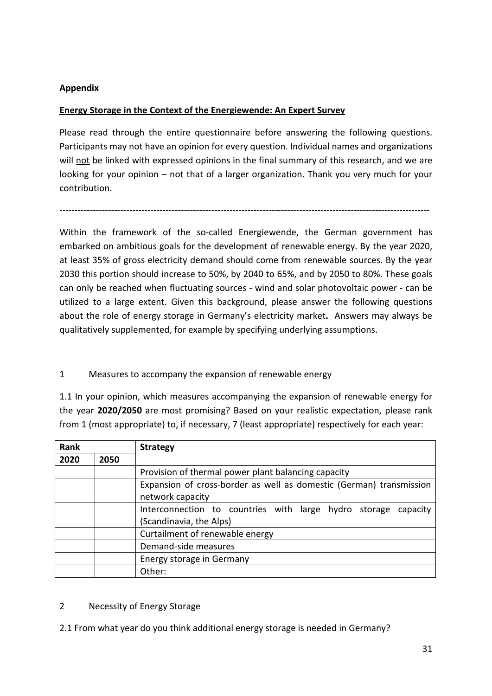## **Appendix**

## **Energy Storage in the Context of the Energiewende: An Expert Survey**

Please read through the entire questionnaire before answering the following questions. Participants may not have an opinion for every question. Individual names and organizations will not be linked with expressed opinions in the final summary of this research, and we are looking for your opinion – not that of a larger organization. Thank you very much for your contribution.

--------------------------------------------------------------------------------------------------------------------------

Within the framework of the so-called Energiewende, the German government has embarked on ambitious goals for the development of renewable energy. By the year 2020, at least 35% of gross electricity demand should come from renewable sources. By the year 2030 this portion should increase to 50%, by 2040 to 65%, and by 2050 to 80%. These goals can only be reached when fluctuating sources - wind and solar photovoltaic power - can be utilized to a large extent. Given this background, please answer the following questions about the role of energy storage in Germany's electricity market**.** Answers may always be qualitatively supplemented, for example by specifying underlying assumptions.

# 1 Measures to accompany the expansion of renewable energy

1.1 In your opinion, which measures accompanying the expansion of renewable energy for the year **2020/2050** are most promising? Based on your realistic expectation, please rank from 1 (most appropriate) to, if necessary, 7 (least appropriate) respectively for each year:

| Rank |      | <b>Strategy</b>                                                     |  |  |
|------|------|---------------------------------------------------------------------|--|--|
| 2020 | 2050 |                                                                     |  |  |
|      |      | Provision of thermal power plant balancing capacity                 |  |  |
|      |      | Expansion of cross-border as well as domestic (German) transmission |  |  |
|      |      | network capacity                                                    |  |  |
|      |      | Interconnection to countries with large hydro storage<br>capacity   |  |  |
|      |      | (Scandinavia, the Alps)                                             |  |  |
|      |      | Curtailment of renewable energy                                     |  |  |
|      |      | Demand-side measures                                                |  |  |
|      |      | Energy storage in Germany                                           |  |  |
|      |      | Other:                                                              |  |  |

### 2 Necessity of Energy Storage

2.1 From what year do you think additional energy storage is needed in Germany?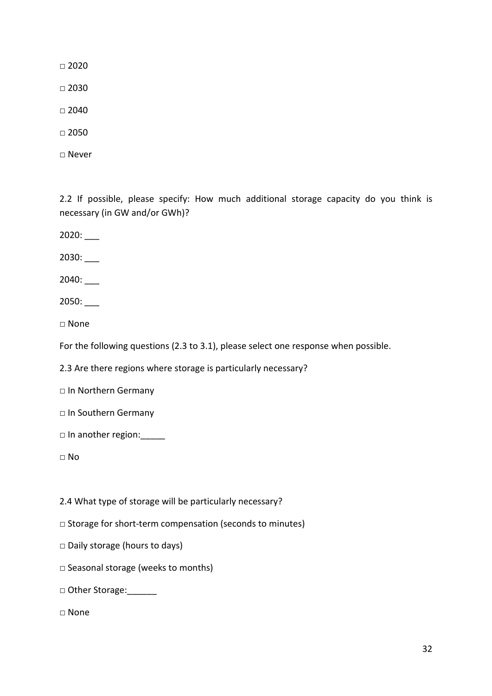$\Box$  2020

 $\Box$  2030

□ 2040

□ 2050

□ Never

2.2 If possible, please specify: How much additional storage capacity do you think is necessary (in GW and/or GWh)?

2020: \_\_\_

2030: \_\_\_

2040: \_\_\_

2050: \_\_\_

□ None

For the following questions (2.3 to 3.1), please select one response when possible.

2.3 Are there regions where storage is particularly necessary?

□ In Northern Germany

- □ In Southern Germany
- □ In another region:\_\_\_\_\_

□ No

2.4 What type of storage will be particularly necessary?

□ Storage for short-term compensation (seconds to minutes)

□ Daily storage (hours to days)

□ Seasonal storage (weeks to months)

□ Other Storage:

□ None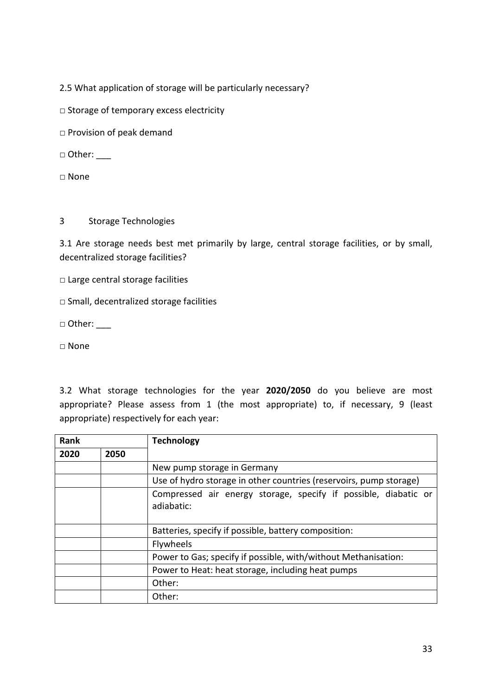2.5 What application of storage will be particularly necessary?

□ Storage of temporary excess electricity

□ Provision of peak demand

 $\Box$  Other:

□ None

#### 3 Storage Technologies

3.1 Are storage needs best met primarily by large, central storage facilities, or by small, decentralized storage facilities?

□ Large central storage facilities

□ Small, decentralized storage facilities

 $\Box$  Other: \_\_\_\_

□ None

3.2 What storage technologies for the year **2020/2050** do you believe are most appropriate? Please assess from 1 (the most appropriate) to, if necessary, 9 (least appropriate) respectively for each year:

| <b>Rank</b> |      | <b>Technology</b>                                                             |  |  |
|-------------|------|-------------------------------------------------------------------------------|--|--|
| 2020        | 2050 |                                                                               |  |  |
|             |      | New pump storage in Germany                                                   |  |  |
|             |      | Use of hydro storage in other countries (reservoirs, pump storage)            |  |  |
|             |      | Compressed air energy storage, specify if possible, diabatic or<br>adiabatic: |  |  |
|             |      | Batteries, specify if possible, battery composition:                          |  |  |
|             |      | Flywheels                                                                     |  |  |
|             |      | Power to Gas; specify if possible, with/without Methanisation:                |  |  |
|             |      | Power to Heat: heat storage, including heat pumps                             |  |  |
|             |      | Other:                                                                        |  |  |
|             |      | Other:                                                                        |  |  |